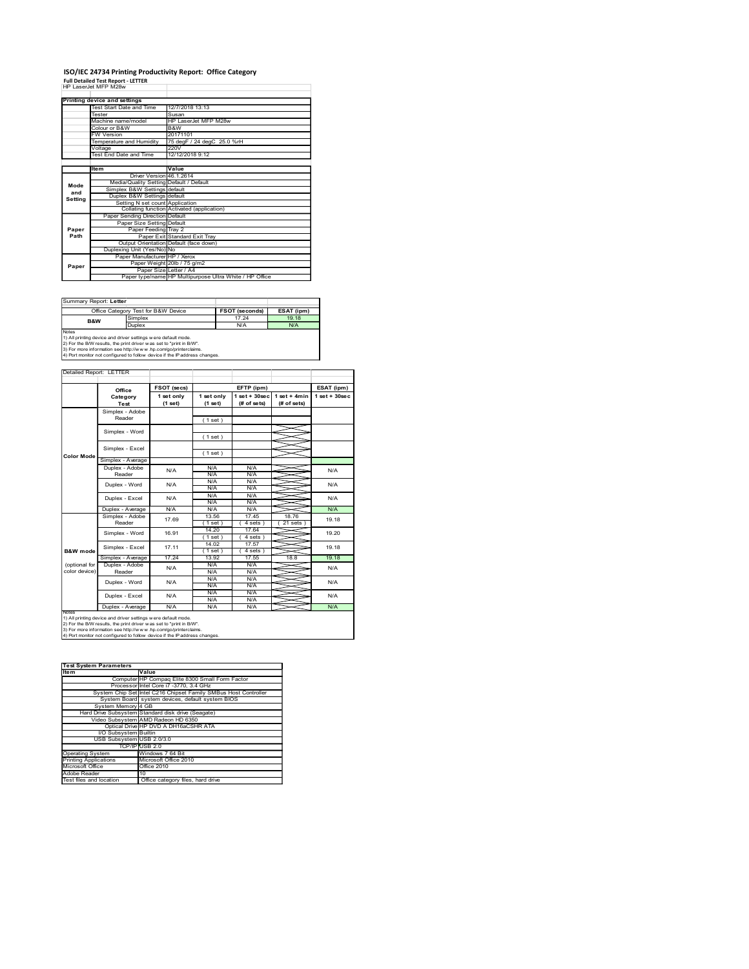# ISO/IEC 24734 Printing Productivity Report: Office Category<br>Full Detailed Test Report - LETTER<br>HP LaserJet MFP M28w

|                        | ISO/IEC 24734 Printing Productivity Report: Office Category                                                                                                                                             |                                                                               |                            |                                |                                |                                |
|------------------------|---------------------------------------------------------------------------------------------------------------------------------------------------------------------------------------------------------|-------------------------------------------------------------------------------|----------------------------|--------------------------------|--------------------------------|--------------------------------|
| HP LaserJet MFP M28w   | <b>Full Detailed Test Report - LETTER</b>                                                                                                                                                               |                                                                               |                            |                                |                                |                                |
|                        | <b>Printing device and settings</b><br>Test Start Date and Time                                                                                                                                         | 12/7/2018 13:13                                                               |                            |                                |                                |                                |
|                        | Tester<br>Machine name/model                                                                                                                                                                            | Susan                                                                         | HP LaserJet MFP M28w       |                                |                                |                                |
|                        | Colour or B&W<br>FW Version                                                                                                                                                                             | B&W<br>20171101                                                               |                            |                                |                                |                                |
|                        | Temperature and Humidity<br>Voltage<br>Test End Date and Time                                                                                                                                           | 220V                                                                          | 75 degF / 24 degC 25.0 %rH |                                |                                |                                |
|                        |                                                                                                                                                                                                         | 12/12/2018 9:12                                                               |                            |                                |                                |                                |
|                        | Item                                                                                                                                                                                                    | Value<br>Driver Version 46.1.2614<br>Media/Quality Setting Default / Default  |                            |                                |                                |                                |
| Mode<br>and            | Simplex B&W Settings default<br>Duplex B&W Settings default                                                                                                                                             |                                                                               |                            |                                |                                |                                |
| Setting                |                                                                                                                                                                                                         | Setting N set count Application<br>Collating function Activated (application) |                            |                                |                                |                                |
|                        | Paper Sending Direction Default                                                                                                                                                                         | Paper Size Setting Default                                                    |                            |                                |                                |                                |
| Paper<br>Path          |                                                                                                                                                                                                         | Paper Feeding Tray 2<br>Paper Exit Standard Exit Tray                         |                            |                                |                                |                                |
|                        | Duplexing Unit (Yes/No) No                                                                                                                                                                              | Output Orientation Default (face down)<br>Paper Manufacturer   HP / Xerox     |                            |                                |                                |                                |
| Paper                  |                                                                                                                                                                                                         | Paper Weight 20lb / 75 g/m2<br>Paper Size Letter / A4                         |                            |                                |                                |                                |
|                        |                                                                                                                                                                                                         | Paper type/name HP Multipurpose Ultra White / HP Office                       |                            |                                |                                |                                |
| Summary Report: Letter |                                                                                                                                                                                                         |                                                                               |                            |                                |                                |                                |
|                        | Office Category Test for B&W Device<br>Simplex                                                                                                                                                          |                                                                               |                            | <b>FSOT (seconds)</b><br>17.24 | ESAT (ipm)<br>19.18            |                                |
| B&W<br>Notes           | Duplex                                                                                                                                                                                                  |                                                                               |                            | N/A                            | N/A                            |                                |
|                        | 1) All printing device and driver settings were default mode.<br>2) For the B/W results, the print driver was set to "print in B/W".<br>3) For more information see http://www.hp.com/go/printerclaims. |                                                                               |                            |                                |                                |                                |
|                        | 4) Port monitor not configured to follow device if the IP address changes.                                                                                                                              |                                                                               |                            |                                |                                |                                |
|                        | Detailed Report: LETTER                                                                                                                                                                                 |                                                                               |                            |                                |                                |                                |
|                        | Office<br>Category                                                                                                                                                                                      | FSOT (secs)<br>1 set only                                                     | 1 set only                 | EFTP (ipm)                     | 1 set + 30 sec   1 set + 4 min | ESAT (ipm)<br>$1 set + 30 sec$ |
|                        | Test<br>Simplex - Adobe                                                                                                                                                                                 | (1 set)                                                                       | (1 set)                    | (# of sets)                    | (# of sets)                    |                                |
|                        | Reader                                                                                                                                                                                                  |                                                                               | (1 set)                    |                                |                                |                                |
|                        | Simplex - Word                                                                                                                                                                                          |                                                                               | (1 set)                    |                                |                                |                                |
|                        | Simplex - Excel<br>Simplex - Average                                                                                                                                                                    |                                                                               | (1 set)                    |                                |                                |                                |
| Color Mode             |                                                                                                                                                                                                         |                                                                               |                            |                                |                                |                                |

| Summary Report: Letter                                               |                                                                 |                       |            |  |  |  |
|----------------------------------------------------------------------|-----------------------------------------------------------------|-----------------------|------------|--|--|--|
|                                                                      | Office Category Test for B&W Device                             | <b>FSOT (seconds)</b> | ESAT (ipm) |  |  |  |
| B&W                                                                  | Simplex                                                         | 17.24                 | 19.18      |  |  |  |
|                                                                      | Duplex                                                          | N/A                   | N/A        |  |  |  |
| Notes                                                                |                                                                 |                       |            |  |  |  |
|                                                                      | 1) All printing device and driver settings w ere default mode.  |                       |            |  |  |  |
| [2) For the B/W results, the print driver was set to "print in B/W". |                                                                 |                       |            |  |  |  |
|                                                                      | 3) For more information see http://www.hp.com/go/printerclaims. |                       |            |  |  |  |

|                                                  | Voltage<br>Test End Date and Time                                                                                                             | 220V<br>12/12/2018 9:12                                 |                          |                       |                                         |                  |
|--------------------------------------------------|-----------------------------------------------------------------------------------------------------------------------------------------------|---------------------------------------------------------|--------------------------|-----------------------|-----------------------------------------|------------------|
|                                                  | ltem                                                                                                                                          | Value                                                   |                          |                       |                                         |                  |
|                                                  |                                                                                                                                               | Driver Version 46.1.2614                                |                          |                       |                                         |                  |
| Mode<br>and                                      | Simplex B&W Settings default                                                                                                                  | Media/Quality Setting Default / Default                 |                          |                       |                                         |                  |
| Setting                                          | Duplex B&W Settings default                                                                                                                   | Setting N set count Application                         |                          |                       |                                         |                  |
|                                                  |                                                                                                                                               | Collating function Activated (application)              |                          |                       |                                         |                  |
|                                                  | Paper Sending Direction Default                                                                                                               | Paper Size Setting Default                              |                          |                       |                                         |                  |
| Paper<br>Path                                    |                                                                                                                                               | Paper Feeding Tray 2<br>Paper Exit Standard Exit Tray   |                          |                       |                                         |                  |
|                                                  |                                                                                                                                               | Output Orientation Default (face down)                  |                          |                       |                                         |                  |
|                                                  | Duplexing Unit (Yes/No) No                                                                                                                    | Paper Manufacturer HP / Xerox                           |                          |                       |                                         |                  |
| Paper                                            |                                                                                                                                               | Paper Weight 20lb / 75 g/m2<br>Paper Size Letter / A4   |                          |                       |                                         |                  |
|                                                  |                                                                                                                                               | Paper type/name HP Multipurpose Ultra White / HP Office |                          |                       |                                         |                  |
|                                                  |                                                                                                                                               |                                                         |                          |                       |                                         |                  |
| Summary Report: Letter                           |                                                                                                                                               |                                                         |                          |                       |                                         |                  |
|                                                  | Office Category Test for B&W Device                                                                                                           |                                                         |                          | <b>FSOT (seconds)</b> | ESAT (ipm)                              |                  |
| B&W                                              | Simplex<br>Duplex                                                                                                                             |                                                         |                          | 17.24<br>N/A          | 19.18<br>N/A                            |                  |
| Notes                                            | 1) All printing device and driver settings w ere default mode.                                                                                |                                                         |                          |                       |                                         |                  |
|                                                  | 2) For the B/W results, the print driver was set to "print in B/W".                                                                           |                                                         |                          |                       |                                         |                  |
|                                                  | 3) For more information see http://www.hp.com/go/printerclaims.<br>4) Port monitor not configured to follow device if the IP address changes. |                                                         |                          |                       |                                         |                  |
|                                                  |                                                                                                                                               |                                                         |                          |                       |                                         |                  |
| Detailed Report: LETTER                          |                                                                                                                                               |                                                         |                          |                       |                                         |                  |
|                                                  | Office                                                                                                                                        | FSOT (secs)                                             |                          | EFTP (ipm)            |                                         |                  |
|                                                  | Category<br>Test                                                                                                                              | 1 set only<br>(1 set)                                   | 1 set only<br>(1 set)    | (# of sets)           | 1 set+30 sec 1 set+4 min<br>(# of sets) | $1 set + 30 sec$ |
|                                                  | Simplex - Adobe                                                                                                                               |                                                         |                          |                       |                                         |                  |
|                                                  | Reader                                                                                                                                        |                                                         | (1 set)                  |                       |                                         |                  |
|                                                  | Simplex - Word                                                                                                                                |                                                         | (1 set)                  |                       |                                         |                  |
|                                                  | Simplex - Excel                                                                                                                               |                                                         |                          |                       |                                         |                  |
| Color Mode                                       | Simplex - Average                                                                                                                             |                                                         | (1 set)                  |                       |                                         |                  |
|                                                  | Duplex - Adobe                                                                                                                                | N/A                                                     | N/A                      | N/A                   |                                         |                  |
|                                                  | Reader                                                                                                                                        |                                                         | <b>N/A</b><br><b>N/A</b> | N/A<br><b>N/A</b>     |                                         |                  |
|                                                  | Duplex - Word                                                                                                                                 | N/A                                                     | N/A                      | N/A                   |                                         |                  |
|                                                  | Duplex - Excel                                                                                                                                | N/A                                                     | <b>N/A</b><br>N/A        | <b>N/A</b><br>N/A     |                                         |                  |
|                                                  | Duplex - Average                                                                                                                              | N/A                                                     | N/A                      | N/A                   |                                         | N/A              |
|                                                  | Simplex - Adobe<br>Reader                                                                                                                     | 17.69                                                   | 13.56<br>(1 set)         | 17.45<br>4 sets)      | 18.76<br>$21$ sets)                     | 19.18            |
|                                                  | Simplex - Word                                                                                                                                | 16.91                                                   | 14.20<br>(1 set)         | 17.64<br>4 sets       |                                         | 19.20            |
|                                                  | Simplex - Excel                                                                                                                               | 17.11                                                   | 14.02                    | 17.57                 |                                         | 19.18            |
| <b>B&amp;W</b> mode                              | Simplex - Average                                                                                                                             | 17.24                                                   | (1 set)<br>13.92         | (4 sets)<br>17.55     | 18.8                                    | 19.18            |
| (optional for                                    | Duplex - Adobe                                                                                                                                | N/A                                                     | <b>N/A</b>               | <b>N/A</b>            |                                         | N/A              |
| color device)                                    | Reader<br>Duplex - Word                                                                                                                       | N/A                                                     | N/A<br><b>N/A</b>        | N/A<br>N/A            |                                         | N/A              |
|                                                  |                                                                                                                                               |                                                         | N/A<br>N/A               | <b>N/A</b><br>N/A     |                                         |                  |
|                                                  | Duplex - Excel                                                                                                                                | N/A                                                     | N/A                      | N/A                   |                                         | N/A              |
|                                                  | Duplex - Average                                                                                                                              | N/A                                                     | N/A                      | N/A                   |                                         | N/A              |
|                                                  | 1) All printing device and driver settings w ere default mode.<br>2) For the B/W results, the print driver was set to "print in B/W".         |                                                         |                          |                       |                                         |                  |
|                                                  | 3) For more information see http://www.hp.com/go/printerclaims.<br>4) Port monitor not configured to follow device if the IP address changes. |                                                         |                          |                       |                                         |                  |
|                                                  |                                                                                                                                               |                                                         |                          |                       |                                         |                  |
|                                                  |                                                                                                                                               |                                                         |                          |                       |                                         |                  |
|                                                  | <b>Test System Parameters</b>                                                                                                                 |                                                         |                          |                       |                                         |                  |
| <b>Item</b>                                      | Value                                                                                                                                         | Computer HP Compaq Elite 8300 Small Form Factor         |                          |                       |                                         |                  |
|                                                  | System Chip Set Intel C216 Chipset Family SMBus Host Controller                                                                               | Processor Intel Core i7 -3770, 3.4 GHz                  |                          |                       |                                         |                  |
|                                                  | System Board system devices, default system BIOS                                                                                              |                                                         |                          |                       |                                         |                  |
|                                                  | System Memory 4 GB<br>Hard Drive Subsystem Standard disk drive (Seagate)                                                                      |                                                         |                          |                       |                                         |                  |
|                                                  | Video Subsystem AMD Radeon HD 6350                                                                                                            |                                                         |                          |                       |                                         |                  |
|                                                  | Optical Drive HP DVD A DH16aCSHR ATA<br>VO Subsystem Builtin                                                                                  |                                                         |                          |                       |                                         |                  |
|                                                  | USB Subsystem USB 2.0/3.0<br>TCP/IP USB 2.0                                                                                                   |                                                         |                          |                       |                                         |                  |
| Operating System                                 |                                                                                                                                               | Windows 7 64 Bit                                        |                          |                       |                                         |                  |
| <b>Printing Applications</b><br>Microsoft Office |                                                                                                                                               | Microsoft Office 2010<br>Office 2010                    |                          |                       |                                         |                  |
| Adobe Reader<br>Test files and location          | 10                                                                                                                                            | Office category files, hard drive                       |                          |                       |                                         |                  |
|                                                  |                                                                                                                                               |                                                         |                          |                       |                                         |                  |
|                                                  |                                                                                                                                               |                                                         |                          |                       |                                         |                  |
|                                                  |                                                                                                                                               |                                                         |                          |                       |                                         |                  |
|                                                  |                                                                                                                                               |                                                         |                          |                       |                                         |                  |
|                                                  |                                                                                                                                               |                                                         |                          |                       |                                         |                  |
|                                                  |                                                                                                                                               |                                                         |                          |                       |                                         |                  |
|                                                  |                                                                                                                                               |                                                         |                          |                       |                                         |                  |

| <b>Test System Parameters</b> |                                                                 |
|-------------------------------|-----------------------------------------------------------------|
| <b>Item</b>                   | Value                                                           |
|                               | Computer HP Compag Elite 8300 Small Form Factor                 |
|                               | Processor Intel Core i7 -3770, 3.4 GHz                          |
|                               | System Chip Set Intel C216 Chipset Family SMBus Host Controller |
|                               | System Board system devices, default system BIOS                |
| System Memory 4 GB            |                                                                 |
|                               | Hard Drive Subsystem Standard disk drive (Seagate)              |
|                               | Video Subsystem AMD Radeon HD 6350                              |
|                               | Optical Drive HP DVD A DH16aCSHR ATA                            |
| VO Subsystem Builtin          |                                                                 |
| USB Subsystem USB 2.0/3.0     |                                                                 |
|                               | TCP/IPIUSB 2.0                                                  |
| <b>Operating System</b>       | Windows 7 64 Bit                                                |
| <b>Printing Applications</b>  | Microsoft Office 2010                                           |
| Microsoft Office              | Office 2010                                                     |
| Adobe Reader                  | 10                                                              |
| Test files and location       | Office category files, hard drive                               |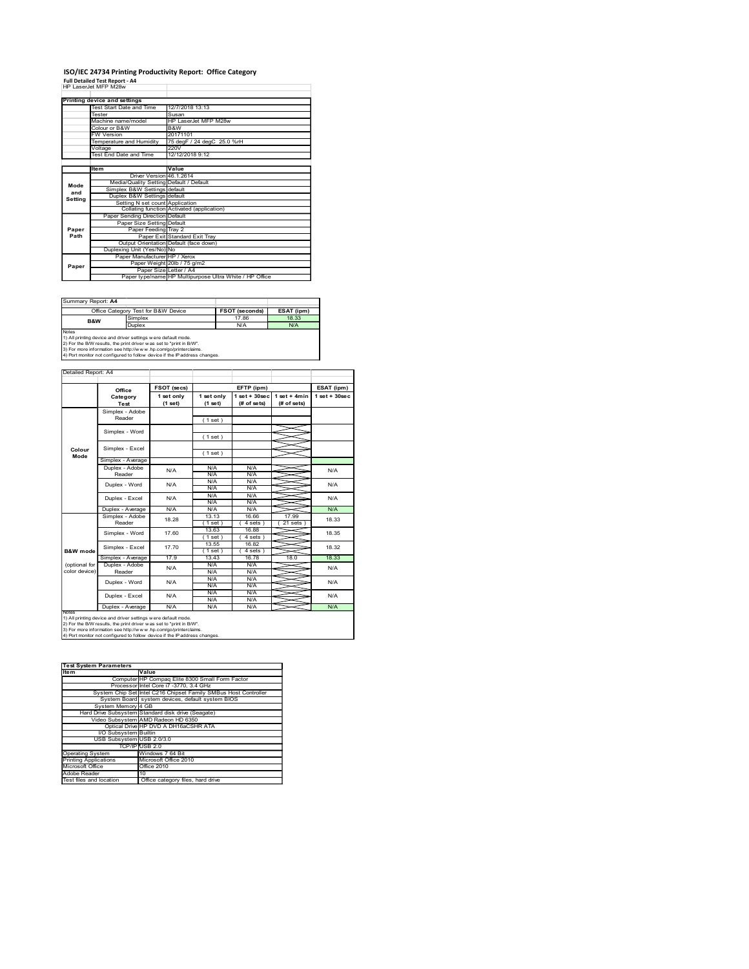# ISO/IEC 24734 Printing Productivity Report: Office Category<br>Full Detailed Test Report - A4<br>HP LaserJet MFP M28w

|                     | ISO/IEC 24734 Printing Productivity Report: Office Category                                                                                                                                                          |                                                                               |                            |                                |                                |                                  |
|---------------------|----------------------------------------------------------------------------------------------------------------------------------------------------------------------------------------------------------------------|-------------------------------------------------------------------------------|----------------------------|--------------------------------|--------------------------------|----------------------------------|
|                     | <b>Full Detailed Test Report - A4</b><br>HP LaserJet MFP M28w                                                                                                                                                        |                                                                               |                            |                                |                                |                                  |
|                     | <b>Printing device and settings</b><br>Test Start Date and Time                                                                                                                                                      | 12/7/2018 13:13                                                               |                            |                                |                                |                                  |
|                     | Tester<br>Machine name/model                                                                                                                                                                                         | Susan                                                                         | HP LaserJet MFP M28w       |                                |                                |                                  |
|                     | Colour or B&W<br>FW Version                                                                                                                                                                                          | B&W<br>20171101                                                               |                            |                                |                                |                                  |
|                     | Temperature and Humidity<br>Voltage<br>Test End Date and Time                                                                                                                                                        | 220V<br>12/12/2018 9:12                                                       | 75 degF / 24 degC 25.0 %rH |                                |                                |                                  |
|                     | Item                                                                                                                                                                                                                 | Value<br>Driver Version 46.1.2614                                             |                            |                                |                                |                                  |
| Mode<br>and         | Simplex B&W Settings default                                                                                                                                                                                         | Media/Quality Setting Default / Default                                       |                            |                                |                                |                                  |
| Setting             | Duplex B&W Settings default                                                                                                                                                                                          | Setting N set count Application<br>Collating function Activated (application) |                            |                                |                                |                                  |
|                     | Paper Sending Direction Default                                                                                                                                                                                      | Paper Size Setting Default                                                    |                            |                                |                                |                                  |
| Paper<br>Path       |                                                                                                                                                                                                                      | Paper Feeding Tray 2<br>Paper Exit Standard Exit Tray                         |                            |                                |                                |                                  |
|                     | Duplexing Unit (Yes/No) No                                                                                                                                                                                           | Output Orientation Default (face down)<br>Paper Manufacturer   HP / Xerox     |                            |                                |                                |                                  |
| Paper               |                                                                                                                                                                                                                      | Paper Weight 20lb / 75 g/m2<br>Paper Size Letter / A4                         |                            |                                |                                |                                  |
|                     |                                                                                                                                                                                                                      | Paper type/name HP Multipurpose Ultra White / HP Office                       |                            |                                |                                |                                  |
|                     |                                                                                                                                                                                                                      |                                                                               |                            |                                |                                |                                  |
| Summary Report: A4  |                                                                                                                                                                                                                      |                                                                               |                            | <b>FSOT (seconds)</b><br>17.86 | ESAT (ipm)<br>18.33            |                                  |
| B&W                 | Office Category Test for B&W Device<br>Simplex                                                                                                                                                                       |                                                                               |                            | N/A                            | N/A                            |                                  |
| Notes               | Duplex<br>1) All printing device and driver settings were default mode.                                                                                                                                              |                                                                               |                            |                                |                                |                                  |
|                     | 2) For the B/W results, the print driver was set to "print in B/W".<br>3) For more information see http://www.hp.com/go/printerclaims.<br>4) Port monitor not configured to follow device if the IP address changes. |                                                                               |                            |                                |                                |                                  |
| Detailed Report: A4 |                                                                                                                                                                                                                      |                                                                               |                            |                                |                                |                                  |
|                     | Office<br>Category                                                                                                                                                                                                   | FSOT (secs)<br>1 set only                                                     | 1 set only                 | EFTP (ipm)                     | 1 set + 30 sec   1 set + 4 min | ESAT (ipm)<br>$1$ set + $30$ sec |
|                     | Test<br>Simplex - Adobe                                                                                                                                                                                              | (1 set)                                                                       | $(1$ set)                  | (# of sets)                    | (# of sets)                    |                                  |
|                     | Reader<br>Simplex - Word                                                                                                                                                                                             |                                                                               | (1 set)                    |                                |                                |                                  |
| Colour              | Simplex - Excel                                                                                                                                                                                                      |                                                                               | (1 set)<br>(1 set)         |                                |                                |                                  |

| Summary Report: A4 |                                                                     |                       |            |
|--------------------|---------------------------------------------------------------------|-----------------------|------------|
|                    | Office Category Test for B&W Device                                 | <b>FSOT (seconds)</b> | ESAT (ipm) |
| <b>B&amp;W</b>     | Simplex                                                             | 17.86                 | 18.33      |
|                    | Duplex                                                              | N/A                   | N/A        |
| <b>Notes</b>       |                                                                     |                       |            |
|                    | 1) All printing device and driver settings w ere default mode.      |                       |            |
|                    | 2) For the B/W results, the print driver was set to "print in B/W". |                       |            |
|                    | 3) For more information see http://www.hp.com/go/printerclaims.     |                       |            |

| Value<br>ltem<br>Driver Version 46.1.2614<br>Media/Quality Setting Default / Default<br>Mode<br>Simplex B&W Settings default<br>and<br>Duplex B&W Settings default<br>Setting<br>Setting N set count Application<br>Collating function Activated (application)<br>Paper Sending Direction Default<br>Paper Size Setting Default<br>Paper<br>Paper Feeding Tray 2<br>Path<br>Paper Exit Standard Exit Tray<br>Output Orientation Default (face down)<br>Duplexing Unit (Yes/No) No<br>Paper Manufacturer HP / Xerox<br>Paper Weight 20lb / 75 g/m2<br>Paper<br>Paper Size Letter / A4<br>Paper type/name HP Multipurpose Ultra White / HP Office<br>Summary Report: A4<br>ESAT (ipm)<br>Office Category Test for B&W Device<br><b>FSOT (seconds)</b><br>17.86<br>18.33<br>Simplex<br>B&W<br>N/A<br>Duplex<br>N/A<br>1) All printing device and driver settings w ere default mode.<br>2) For the B/W results, the print driver was set to "print in B/W".<br>3) For more information see http://www.hp.com/go/printerclaims.<br>4) Port monitor not configured to follow device if the IP address changes.<br>Detailed Report: A4<br>FSOT (secs)<br>EFTP (ipm)<br>ESAT (ipm)<br>Office<br>1 set + 30 sec   1 set + 4 min<br>1 set only<br>1 set only<br>$1 set + 30 sec$<br>Category<br>(1 set)<br>(1 set)<br>(# of sets)<br>(# of sets)<br>Test<br>Simplex - Adobe<br>Reader<br>(1 set)<br>Simplex - Word<br>(1 set)<br>Simplex - Excel<br>Colour<br>(1 set)<br>Mode<br>Simplex - Average<br>N/A<br>N/A<br>Duplex - Adobe<br>N/A<br>N/A<br><b>N/A</b><br>Reader<br>N/A<br>N/A<br>N/A<br>Duplex - Word<br>N/A<br>N/A<br>N/A<br><b>N/A</b><br>N/A<br><b>N/A</b><br>N/A<br>N/A<br>Duplex - Excel<br>N/A<br>N/A<br>N/A<br>N/A<br>N/A<br>N/A<br>Duplex - Average<br>16.66<br>13.13<br>17.99<br>Simplex - Adobe<br>18.28<br>18.33<br>Reader<br>(1 set)<br>4 sets)<br>$(21$ sets)<br>13.63<br>16.88<br>17.60<br>18.35<br>Simplex - Word<br>(1 set)<br>4 sets<br>13.55<br>16.82<br>17.70<br>18.32<br>Simplex - Excel<br>(1 set)<br>(4 sets)<br><b>B&amp;W</b> mode<br>Simplex - Average<br>17.9<br>13.43<br>16.78<br>18.0<br>18.33<br>(optional for<br>Duplex - Adobe<br>N/A<br>N/A<br>N/A<br>N/A<br>color device)<br>Reader<br>N/A<br>N/A<br><b>N/A</b><br><b>N/A</b><br>Duplex - Word<br>N/A<br>N/A<br>N/A<br>N/A<br>N/A<br>N/A<br>N/A<br>Duplex - Excel<br>N/A<br>N/A<br>N/A<br>N/A<br>N/A<br>N/A<br>Duplex - Average<br>N/A<br>1) All printing device and driver settings w ere default mode.<br>2) For the B/W results, the print driver was set to "print in B/W".<br>3) For more information see http://www.hp.com/go/printerclaims.<br>4) Port monitor not configured to follow device if the IP address changes<br><b>Test System Parameters</b><br>Value<br>Computer HP Compaq Elite 8300 Small Form Factor<br>Processor Intel Core i7 -3770, 3.4 GHz<br>System Chip Set Intel C216 Chipset Family SMBus Host Controller<br>System Board system devices, default system BIOS<br>System Memory 4 GB<br>Hard Drive Subsystem Standard disk drive (Seagate)<br>Video Subsystem AMD Radeon HD 6350<br>Optical Drive HP DVD A DH16aCSHR ATA<br>I/O Subsystem Builtin<br>USB Subsystem USB 2.0/3.0<br>TCP/IP USB 2.0<br>Windows 7 64 Bit<br><b>Operating System</b><br>Microsoft Office 2010<br><b>Printing Applications</b> |
|--------------------------------------------------------------------------------------------------------------------------------------------------------------------------------------------------------------------------------------------------------------------------------------------------------------------------------------------------------------------------------------------------------------------------------------------------------------------------------------------------------------------------------------------------------------------------------------------------------------------------------------------------------------------------------------------------------------------------------------------------------------------------------------------------------------------------------------------------------------------------------------------------------------------------------------------------------------------------------------------------------------------------------------------------------------------------------------------------------------------------------------------------------------------------------------------------------------------------------------------------------------------------------------------------------------------------------------------------------------------------------------------------------------------------------------------------------------------------------------------------------------------------------------------------------------------------------------------------------------------------------------------------------------------------------------------------------------------------------------------------------------------------------------------------------------------------------------------------------------------------------------------------------------------------------------------------------------------------------------------------------------------------------------------------------------------------------------------------------------------------------------------------------------------------------------------------------------------------------------------------------------------------------------------------------------------------------------------------------------------------------------------------------------------------------------------------------------------------------------------------------------------------------------------------------------------------------------------------------------------------------------------------------------------------------------------------------------------------------------------------------------------------------------------------------------------------------------------------------------------------------------------------------------------------------------------------------------------------------------------------------------------------------------------------------------------------------------------------------------------------------------------------------------------------------------------------------------------------------------------------------------------------------------------------------------------------|
|                                                                                                                                                                                                                                                                                                                                                                                                                                                                                                                                                                                                                                                                                                                                                                                                                                                                                                                                                                                                                                                                                                                                                                                                                                                                                                                                                                                                                                                                                                                                                                                                                                                                                                                                                                                                                                                                                                                                                                                                                                                                                                                                                                                                                                                                                                                                                                                                                                                                                                                                                                                                                                                                                                                                                                                                                                                                                                                                                                                                                                                                                                                                                                                                                                                                                                                          |
|                                                                                                                                                                                                                                                                                                                                                                                                                                                                                                                                                                                                                                                                                                                                                                                                                                                                                                                                                                                                                                                                                                                                                                                                                                                                                                                                                                                                                                                                                                                                                                                                                                                                                                                                                                                                                                                                                                                                                                                                                                                                                                                                                                                                                                                                                                                                                                                                                                                                                                                                                                                                                                                                                                                                                                                                                                                                                                                                                                                                                                                                                                                                                                                                                                                                                                                          |
|                                                                                                                                                                                                                                                                                                                                                                                                                                                                                                                                                                                                                                                                                                                                                                                                                                                                                                                                                                                                                                                                                                                                                                                                                                                                                                                                                                                                                                                                                                                                                                                                                                                                                                                                                                                                                                                                                                                                                                                                                                                                                                                                                                                                                                                                                                                                                                                                                                                                                                                                                                                                                                                                                                                                                                                                                                                                                                                                                                                                                                                                                                                                                                                                                                                                                                                          |
|                                                                                                                                                                                                                                                                                                                                                                                                                                                                                                                                                                                                                                                                                                                                                                                                                                                                                                                                                                                                                                                                                                                                                                                                                                                                                                                                                                                                                                                                                                                                                                                                                                                                                                                                                                                                                                                                                                                                                                                                                                                                                                                                                                                                                                                                                                                                                                                                                                                                                                                                                                                                                                                                                                                                                                                                                                                                                                                                                                                                                                                                                                                                                                                                                                                                                                                          |
|                                                                                                                                                                                                                                                                                                                                                                                                                                                                                                                                                                                                                                                                                                                                                                                                                                                                                                                                                                                                                                                                                                                                                                                                                                                                                                                                                                                                                                                                                                                                                                                                                                                                                                                                                                                                                                                                                                                                                                                                                                                                                                                                                                                                                                                                                                                                                                                                                                                                                                                                                                                                                                                                                                                                                                                                                                                                                                                                                                                                                                                                                                                                                                                                                                                                                                                          |
|                                                                                                                                                                                                                                                                                                                                                                                                                                                                                                                                                                                                                                                                                                                                                                                                                                                                                                                                                                                                                                                                                                                                                                                                                                                                                                                                                                                                                                                                                                                                                                                                                                                                                                                                                                                                                                                                                                                                                                                                                                                                                                                                                                                                                                                                                                                                                                                                                                                                                                                                                                                                                                                                                                                                                                                                                                                                                                                                                                                                                                                                                                                                                                                                                                                                                                                          |
|                                                                                                                                                                                                                                                                                                                                                                                                                                                                                                                                                                                                                                                                                                                                                                                                                                                                                                                                                                                                                                                                                                                                                                                                                                                                                                                                                                                                                                                                                                                                                                                                                                                                                                                                                                                                                                                                                                                                                                                                                                                                                                                                                                                                                                                                                                                                                                                                                                                                                                                                                                                                                                                                                                                                                                                                                                                                                                                                                                                                                                                                                                                                                                                                                                                                                                                          |
|                                                                                                                                                                                                                                                                                                                                                                                                                                                                                                                                                                                                                                                                                                                                                                                                                                                                                                                                                                                                                                                                                                                                                                                                                                                                                                                                                                                                                                                                                                                                                                                                                                                                                                                                                                                                                                                                                                                                                                                                                                                                                                                                                                                                                                                                                                                                                                                                                                                                                                                                                                                                                                                                                                                                                                                                                                                                                                                                                                                                                                                                                                                                                                                                                                                                                                                          |
|                                                                                                                                                                                                                                                                                                                                                                                                                                                                                                                                                                                                                                                                                                                                                                                                                                                                                                                                                                                                                                                                                                                                                                                                                                                                                                                                                                                                                                                                                                                                                                                                                                                                                                                                                                                                                                                                                                                                                                                                                                                                                                                                                                                                                                                                                                                                                                                                                                                                                                                                                                                                                                                                                                                                                                                                                                                                                                                                                                                                                                                                                                                                                                                                                                                                                                                          |
|                                                                                                                                                                                                                                                                                                                                                                                                                                                                                                                                                                                                                                                                                                                                                                                                                                                                                                                                                                                                                                                                                                                                                                                                                                                                                                                                                                                                                                                                                                                                                                                                                                                                                                                                                                                                                                                                                                                                                                                                                                                                                                                                                                                                                                                                                                                                                                                                                                                                                                                                                                                                                                                                                                                                                                                                                                                                                                                                                                                                                                                                                                                                                                                                                                                                                                                          |
|                                                                                                                                                                                                                                                                                                                                                                                                                                                                                                                                                                                                                                                                                                                                                                                                                                                                                                                                                                                                                                                                                                                                                                                                                                                                                                                                                                                                                                                                                                                                                                                                                                                                                                                                                                                                                                                                                                                                                                                                                                                                                                                                                                                                                                                                                                                                                                                                                                                                                                                                                                                                                                                                                                                                                                                                                                                                                                                                                                                                                                                                                                                                                                                                                                                                                                                          |
|                                                                                                                                                                                                                                                                                                                                                                                                                                                                                                                                                                                                                                                                                                                                                                                                                                                                                                                                                                                                                                                                                                                                                                                                                                                                                                                                                                                                                                                                                                                                                                                                                                                                                                                                                                                                                                                                                                                                                                                                                                                                                                                                                                                                                                                                                                                                                                                                                                                                                                                                                                                                                                                                                                                                                                                                                                                                                                                                                                                                                                                                                                                                                                                                                                                                                                                          |
|                                                                                                                                                                                                                                                                                                                                                                                                                                                                                                                                                                                                                                                                                                                                                                                                                                                                                                                                                                                                                                                                                                                                                                                                                                                                                                                                                                                                                                                                                                                                                                                                                                                                                                                                                                                                                                                                                                                                                                                                                                                                                                                                                                                                                                                                                                                                                                                                                                                                                                                                                                                                                                                                                                                                                                                                                                                                                                                                                                                                                                                                                                                                                                                                                                                                                                                          |
|                                                                                                                                                                                                                                                                                                                                                                                                                                                                                                                                                                                                                                                                                                                                                                                                                                                                                                                                                                                                                                                                                                                                                                                                                                                                                                                                                                                                                                                                                                                                                                                                                                                                                                                                                                                                                                                                                                                                                                                                                                                                                                                                                                                                                                                                                                                                                                                                                                                                                                                                                                                                                                                                                                                                                                                                                                                                                                                                                                                                                                                                                                                                                                                                                                                                                                                          |
|                                                                                                                                                                                                                                                                                                                                                                                                                                                                                                                                                                                                                                                                                                                                                                                                                                                                                                                                                                                                                                                                                                                                                                                                                                                                                                                                                                                                                                                                                                                                                                                                                                                                                                                                                                                                                                                                                                                                                                                                                                                                                                                                                                                                                                                                                                                                                                                                                                                                                                                                                                                                                                                                                                                                                                                                                                                                                                                                                                                                                                                                                                                                                                                                                                                                                                                          |
|                                                                                                                                                                                                                                                                                                                                                                                                                                                                                                                                                                                                                                                                                                                                                                                                                                                                                                                                                                                                                                                                                                                                                                                                                                                                                                                                                                                                                                                                                                                                                                                                                                                                                                                                                                                                                                                                                                                                                                                                                                                                                                                                                                                                                                                                                                                                                                                                                                                                                                                                                                                                                                                                                                                                                                                                                                                                                                                                                                                                                                                                                                                                                                                                                                                                                                                          |
|                                                                                                                                                                                                                                                                                                                                                                                                                                                                                                                                                                                                                                                                                                                                                                                                                                                                                                                                                                                                                                                                                                                                                                                                                                                                                                                                                                                                                                                                                                                                                                                                                                                                                                                                                                                                                                                                                                                                                                                                                                                                                                                                                                                                                                                                                                                                                                                                                                                                                                                                                                                                                                                                                                                                                                                                                                                                                                                                                                                                                                                                                                                                                                                                                                                                                                                          |
|                                                                                                                                                                                                                                                                                                                                                                                                                                                                                                                                                                                                                                                                                                                                                                                                                                                                                                                                                                                                                                                                                                                                                                                                                                                                                                                                                                                                                                                                                                                                                                                                                                                                                                                                                                                                                                                                                                                                                                                                                                                                                                                                                                                                                                                                                                                                                                                                                                                                                                                                                                                                                                                                                                                                                                                                                                                                                                                                                                                                                                                                                                                                                                                                                                                                                                                          |
|                                                                                                                                                                                                                                                                                                                                                                                                                                                                                                                                                                                                                                                                                                                                                                                                                                                                                                                                                                                                                                                                                                                                                                                                                                                                                                                                                                                                                                                                                                                                                                                                                                                                                                                                                                                                                                                                                                                                                                                                                                                                                                                                                                                                                                                                                                                                                                                                                                                                                                                                                                                                                                                                                                                                                                                                                                                                                                                                                                                                                                                                                                                                                                                                                                                                                                                          |
|                                                                                                                                                                                                                                                                                                                                                                                                                                                                                                                                                                                                                                                                                                                                                                                                                                                                                                                                                                                                                                                                                                                                                                                                                                                                                                                                                                                                                                                                                                                                                                                                                                                                                                                                                                                                                                                                                                                                                                                                                                                                                                                                                                                                                                                                                                                                                                                                                                                                                                                                                                                                                                                                                                                                                                                                                                                                                                                                                                                                                                                                                                                                                                                                                                                                                                                          |
|                                                                                                                                                                                                                                                                                                                                                                                                                                                                                                                                                                                                                                                                                                                                                                                                                                                                                                                                                                                                                                                                                                                                                                                                                                                                                                                                                                                                                                                                                                                                                                                                                                                                                                                                                                                                                                                                                                                                                                                                                                                                                                                                                                                                                                                                                                                                                                                                                                                                                                                                                                                                                                                                                                                                                                                                                                                                                                                                                                                                                                                                                                                                                                                                                                                                                                                          |
|                                                                                                                                                                                                                                                                                                                                                                                                                                                                                                                                                                                                                                                                                                                                                                                                                                                                                                                                                                                                                                                                                                                                                                                                                                                                                                                                                                                                                                                                                                                                                                                                                                                                                                                                                                                                                                                                                                                                                                                                                                                                                                                                                                                                                                                                                                                                                                                                                                                                                                                                                                                                                                                                                                                                                                                                                                                                                                                                                                                                                                                                                                                                                                                                                                                                                                                          |
|                                                                                                                                                                                                                                                                                                                                                                                                                                                                                                                                                                                                                                                                                                                                                                                                                                                                                                                                                                                                                                                                                                                                                                                                                                                                                                                                                                                                                                                                                                                                                                                                                                                                                                                                                                                                                                                                                                                                                                                                                                                                                                                                                                                                                                                                                                                                                                                                                                                                                                                                                                                                                                                                                                                                                                                                                                                                                                                                                                                                                                                                                                                                                                                                                                                                                                                          |
|                                                                                                                                                                                                                                                                                                                                                                                                                                                                                                                                                                                                                                                                                                                                                                                                                                                                                                                                                                                                                                                                                                                                                                                                                                                                                                                                                                                                                                                                                                                                                                                                                                                                                                                                                                                                                                                                                                                                                                                                                                                                                                                                                                                                                                                                                                                                                                                                                                                                                                                                                                                                                                                                                                                                                                                                                                                                                                                                                                                                                                                                                                                                                                                                                                                                                                                          |
|                                                                                                                                                                                                                                                                                                                                                                                                                                                                                                                                                                                                                                                                                                                                                                                                                                                                                                                                                                                                                                                                                                                                                                                                                                                                                                                                                                                                                                                                                                                                                                                                                                                                                                                                                                                                                                                                                                                                                                                                                                                                                                                                                                                                                                                                                                                                                                                                                                                                                                                                                                                                                                                                                                                                                                                                                                                                                                                                                                                                                                                                                                                                                                                                                                                                                                                          |
|                                                                                                                                                                                                                                                                                                                                                                                                                                                                                                                                                                                                                                                                                                                                                                                                                                                                                                                                                                                                                                                                                                                                                                                                                                                                                                                                                                                                                                                                                                                                                                                                                                                                                                                                                                                                                                                                                                                                                                                                                                                                                                                                                                                                                                                                                                                                                                                                                                                                                                                                                                                                                                                                                                                                                                                                                                                                                                                                                                                                                                                                                                                                                                                                                                                                                                                          |
|                                                                                                                                                                                                                                                                                                                                                                                                                                                                                                                                                                                                                                                                                                                                                                                                                                                                                                                                                                                                                                                                                                                                                                                                                                                                                                                                                                                                                                                                                                                                                                                                                                                                                                                                                                                                                                                                                                                                                                                                                                                                                                                                                                                                                                                                                                                                                                                                                                                                                                                                                                                                                                                                                                                                                                                                                                                                                                                                                                                                                                                                                                                                                                                                                                                                                                                          |
|                                                                                                                                                                                                                                                                                                                                                                                                                                                                                                                                                                                                                                                                                                                                                                                                                                                                                                                                                                                                                                                                                                                                                                                                                                                                                                                                                                                                                                                                                                                                                                                                                                                                                                                                                                                                                                                                                                                                                                                                                                                                                                                                                                                                                                                                                                                                                                                                                                                                                                                                                                                                                                                                                                                                                                                                                                                                                                                                                                                                                                                                                                                                                                                                                                                                                                                          |
|                                                                                                                                                                                                                                                                                                                                                                                                                                                                                                                                                                                                                                                                                                                                                                                                                                                                                                                                                                                                                                                                                                                                                                                                                                                                                                                                                                                                                                                                                                                                                                                                                                                                                                                                                                                                                                                                                                                                                                                                                                                                                                                                                                                                                                                                                                                                                                                                                                                                                                                                                                                                                                                                                                                                                                                                                                                                                                                                                                                                                                                                                                                                                                                                                                                                                                                          |
|                                                                                                                                                                                                                                                                                                                                                                                                                                                                                                                                                                                                                                                                                                                                                                                                                                                                                                                                                                                                                                                                                                                                                                                                                                                                                                                                                                                                                                                                                                                                                                                                                                                                                                                                                                                                                                                                                                                                                                                                                                                                                                                                                                                                                                                                                                                                                                                                                                                                                                                                                                                                                                                                                                                                                                                                                                                                                                                                                                                                                                                                                                                                                                                                                                                                                                                          |
|                                                                                                                                                                                                                                                                                                                                                                                                                                                                                                                                                                                                                                                                                                                                                                                                                                                                                                                                                                                                                                                                                                                                                                                                                                                                                                                                                                                                                                                                                                                                                                                                                                                                                                                                                                                                                                                                                                                                                                                                                                                                                                                                                                                                                                                                                                                                                                                                                                                                                                                                                                                                                                                                                                                                                                                                                                                                                                                                                                                                                                                                                                                                                                                                                                                                                                                          |
|                                                                                                                                                                                                                                                                                                                                                                                                                                                                                                                                                                                                                                                                                                                                                                                                                                                                                                                                                                                                                                                                                                                                                                                                                                                                                                                                                                                                                                                                                                                                                                                                                                                                                                                                                                                                                                                                                                                                                                                                                                                                                                                                                                                                                                                                                                                                                                                                                                                                                                                                                                                                                                                                                                                                                                                                                                                                                                                                                                                                                                                                                                                                                                                                                                                                                                                          |
|                                                                                                                                                                                                                                                                                                                                                                                                                                                                                                                                                                                                                                                                                                                                                                                                                                                                                                                                                                                                                                                                                                                                                                                                                                                                                                                                                                                                                                                                                                                                                                                                                                                                                                                                                                                                                                                                                                                                                                                                                                                                                                                                                                                                                                                                                                                                                                                                                                                                                                                                                                                                                                                                                                                                                                                                                                                                                                                                                                                                                                                                                                                                                                                                                                                                                                                          |
|                                                                                                                                                                                                                                                                                                                                                                                                                                                                                                                                                                                                                                                                                                                                                                                                                                                                                                                                                                                                                                                                                                                                                                                                                                                                                                                                                                                                                                                                                                                                                                                                                                                                                                                                                                                                                                                                                                                                                                                                                                                                                                                                                                                                                                                                                                                                                                                                                                                                                                                                                                                                                                                                                                                                                                                                                                                                                                                                                                                                                                                                                                                                                                                                                                                                                                                          |
|                                                                                                                                                                                                                                                                                                                                                                                                                                                                                                                                                                                                                                                                                                                                                                                                                                                                                                                                                                                                                                                                                                                                                                                                                                                                                                                                                                                                                                                                                                                                                                                                                                                                                                                                                                                                                                                                                                                                                                                                                                                                                                                                                                                                                                                                                                                                                                                                                                                                                                                                                                                                                                                                                                                                                                                                                                                                                                                                                                                                                                                                                                                                                                                                                                                                                                                          |
|                                                                                                                                                                                                                                                                                                                                                                                                                                                                                                                                                                                                                                                                                                                                                                                                                                                                                                                                                                                                                                                                                                                                                                                                                                                                                                                                                                                                                                                                                                                                                                                                                                                                                                                                                                                                                                                                                                                                                                                                                                                                                                                                                                                                                                                                                                                                                                                                                                                                                                                                                                                                                                                                                                                                                                                                                                                                                                                                                                                                                                                                                                                                                                                                                                                                                                                          |
|                                                                                                                                                                                                                                                                                                                                                                                                                                                                                                                                                                                                                                                                                                                                                                                                                                                                                                                                                                                                                                                                                                                                                                                                                                                                                                                                                                                                                                                                                                                                                                                                                                                                                                                                                                                                                                                                                                                                                                                                                                                                                                                                                                                                                                                                                                                                                                                                                                                                                                                                                                                                                                                                                                                                                                                                                                                                                                                                                                                                                                                                                                                                                                                                                                                                                                                          |
|                                                                                                                                                                                                                                                                                                                                                                                                                                                                                                                                                                                                                                                                                                                                                                                                                                                                                                                                                                                                                                                                                                                                                                                                                                                                                                                                                                                                                                                                                                                                                                                                                                                                                                                                                                                                                                                                                                                                                                                                                                                                                                                                                                                                                                                                                                                                                                                                                                                                                                                                                                                                                                                                                                                                                                                                                                                                                                                                                                                                                                                                                                                                                                                                                                                                                                                          |
|                                                                                                                                                                                                                                                                                                                                                                                                                                                                                                                                                                                                                                                                                                                                                                                                                                                                                                                                                                                                                                                                                                                                                                                                                                                                                                                                                                                                                                                                                                                                                                                                                                                                                                                                                                                                                                                                                                                                                                                                                                                                                                                                                                                                                                                                                                                                                                                                                                                                                                                                                                                                                                                                                                                                                                                                                                                                                                                                                                                                                                                                                                                                                                                                                                                                                                                          |
|                                                                                                                                                                                                                                                                                                                                                                                                                                                                                                                                                                                                                                                                                                                                                                                                                                                                                                                                                                                                                                                                                                                                                                                                                                                                                                                                                                                                                                                                                                                                                                                                                                                                                                                                                                                                                                                                                                                                                                                                                                                                                                                                                                                                                                                                                                                                                                                                                                                                                                                                                                                                                                                                                                                                                                                                                                                                                                                                                                                                                                                                                                                                                                                                                                                                                                                          |
|                                                                                                                                                                                                                                                                                                                                                                                                                                                                                                                                                                                                                                                                                                                                                                                                                                                                                                                                                                                                                                                                                                                                                                                                                                                                                                                                                                                                                                                                                                                                                                                                                                                                                                                                                                                                                                                                                                                                                                                                                                                                                                                                                                                                                                                                                                                                                                                                                                                                                                                                                                                                                                                                                                                                                                                                                                                                                                                                                                                                                                                                                                                                                                                                                                                                                                                          |
|                                                                                                                                                                                                                                                                                                                                                                                                                                                                                                                                                                                                                                                                                                                                                                                                                                                                                                                                                                                                                                                                                                                                                                                                                                                                                                                                                                                                                                                                                                                                                                                                                                                                                                                                                                                                                                                                                                                                                                                                                                                                                                                                                                                                                                                                                                                                                                                                                                                                                                                                                                                                                                                                                                                                                                                                                                                                                                                                                                                                                                                                                                                                                                                                                                                                                                                          |
|                                                                                                                                                                                                                                                                                                                                                                                                                                                                                                                                                                                                                                                                                                                                                                                                                                                                                                                                                                                                                                                                                                                                                                                                                                                                                                                                                                                                                                                                                                                                                                                                                                                                                                                                                                                                                                                                                                                                                                                                                                                                                                                                                                                                                                                                                                                                                                                                                                                                                                                                                                                                                                                                                                                                                                                                                                                                                                                                                                                                                                                                                                                                                                                                                                                                                                                          |
|                                                                                                                                                                                                                                                                                                                                                                                                                                                                                                                                                                                                                                                                                                                                                                                                                                                                                                                                                                                                                                                                                                                                                                                                                                                                                                                                                                                                                                                                                                                                                                                                                                                                                                                                                                                                                                                                                                                                                                                                                                                                                                                                                                                                                                                                                                                                                                                                                                                                                                                                                                                                                                                                                                                                                                                                                                                                                                                                                                                                                                                                                                                                                                                                                                                                                                                          |
|                                                                                                                                                                                                                                                                                                                                                                                                                                                                                                                                                                                                                                                                                                                                                                                                                                                                                                                                                                                                                                                                                                                                                                                                                                                                                                                                                                                                                                                                                                                                                                                                                                                                                                                                                                                                                                                                                                                                                                                                                                                                                                                                                                                                                                                                                                                                                                                                                                                                                                                                                                                                                                                                                                                                                                                                                                                                                                                                                                                                                                                                                                                                                                                                                                                                                                                          |
|                                                                                                                                                                                                                                                                                                                                                                                                                                                                                                                                                                                                                                                                                                                                                                                                                                                                                                                                                                                                                                                                                                                                                                                                                                                                                                                                                                                                                                                                                                                                                                                                                                                                                                                                                                                                                                                                                                                                                                                                                                                                                                                                                                                                                                                                                                                                                                                                                                                                                                                                                                                                                                                                                                                                                                                                                                                                                                                                                                                                                                                                                                                                                                                                                                                                                                                          |
|                                                                                                                                                                                                                                                                                                                                                                                                                                                                                                                                                                                                                                                                                                                                                                                                                                                                                                                                                                                                                                                                                                                                                                                                                                                                                                                                                                                                                                                                                                                                                                                                                                                                                                                                                                                                                                                                                                                                                                                                                                                                                                                                                                                                                                                                                                                                                                                                                                                                                                                                                                                                                                                                                                                                                                                                                                                                                                                                                                                                                                                                                                                                                                                                                                                                                                                          |
|                                                                                                                                                                                                                                                                                                                                                                                                                                                                                                                                                                                                                                                                                                                                                                                                                                                                                                                                                                                                                                                                                                                                                                                                                                                                                                                                                                                                                                                                                                                                                                                                                                                                                                                                                                                                                                                                                                                                                                                                                                                                                                                                                                                                                                                                                                                                                                                                                                                                                                                                                                                                                                                                                                                                                                                                                                                                                                                                                                                                                                                                                                                                                                                                                                                                                                                          |
|                                                                                                                                                                                                                                                                                                                                                                                                                                                                                                                                                                                                                                                                                                                                                                                                                                                                                                                                                                                                                                                                                                                                                                                                                                                                                                                                                                                                                                                                                                                                                                                                                                                                                                                                                                                                                                                                                                                                                                                                                                                                                                                                                                                                                                                                                                                                                                                                                                                                                                                                                                                                                                                                                                                                                                                                                                                                                                                                                                                                                                                                                                                                                                                                                                                                                                                          |
| Microsoft Office<br>Office 2010                                                                                                                                                                                                                                                                                                                                                                                                                                                                                                                                                                                                                                                                                                                                                                                                                                                                                                                                                                                                                                                                                                                                                                                                                                                                                                                                                                                                                                                                                                                                                                                                                                                                                                                                                                                                                                                                                                                                                                                                                                                                                                                                                                                                                                                                                                                                                                                                                                                                                                                                                                                                                                                                                                                                                                                                                                                                                                                                                                                                                                                                                                                                                                                                                                                                                          |
| Adobe Reader<br>10<br>Test files and location<br>Office category files, hard drive                                                                                                                                                                                                                                                                                                                                                                                                                                                                                                                                                                                                                                                                                                                                                                                                                                                                                                                                                                                                                                                                                                                                                                                                                                                                                                                                                                                                                                                                                                                                                                                                                                                                                                                                                                                                                                                                                                                                                                                                                                                                                                                                                                                                                                                                                                                                                                                                                                                                                                                                                                                                                                                                                                                                                                                                                                                                                                                                                                                                                                                                                                                                                                                                                                       |
|                                                                                                                                                                                                                                                                                                                                                                                                                                                                                                                                                                                                                                                                                                                                                                                                                                                                                                                                                                                                                                                                                                                                                                                                                                                                                                                                                                                                                                                                                                                                                                                                                                                                                                                                                                                                                                                                                                                                                                                                                                                                                                                                                                                                                                                                                                                                                                                                                                                                                                                                                                                                                                                                                                                                                                                                                                                                                                                                                                                                                                                                                                                                                                                                                                                                                                                          |
|                                                                                                                                                                                                                                                                                                                                                                                                                                                                                                                                                                                                                                                                                                                                                                                                                                                                                                                                                                                                                                                                                                                                                                                                                                                                                                                                                                                                                                                                                                                                                                                                                                                                                                                                                                                                                                                                                                                                                                                                                                                                                                                                                                                                                                                                                                                                                                                                                                                                                                                                                                                                                                                                                                                                                                                                                                                                                                                                                                                                                                                                                                                                                                                                                                                                                                                          |

| <b>Test System Parameters</b> |                                                                 |
|-------------------------------|-----------------------------------------------------------------|
| <b>Item</b>                   | Value                                                           |
|                               | Computer HP Compag Elite 8300 Small Form Factor                 |
|                               | Processor Intel Core i7 -3770, 3.4 GHz                          |
|                               | System Chip Set Intel C216 Chipset Family SMBus Host Controller |
|                               | System Board system devices, default system BIOS                |
| System Memory 4 GB            |                                                                 |
|                               | Hard Drive Subsystem Standard disk drive (Seagate)              |
|                               | Video Subsystem AMD Radeon HD 6350                              |
|                               | Optical Drive HP DVD A DH16aCSHR ATA                            |
| I/O Subsystem Builtin         |                                                                 |
| USB Subsystem USB 2.0/3.0     |                                                                 |
|                               | TCP/IPIUSB 2.0                                                  |
| <b>Operating System</b>       | Windows 7 64 Bit                                                |
| <b>Printing Applications</b>  | Microsoft Office 2010                                           |
| Microsoft Office              | Office 2010                                                     |
| Adobe Reader                  | 10                                                              |
| Test files and location       | Office category files, hard drive                               |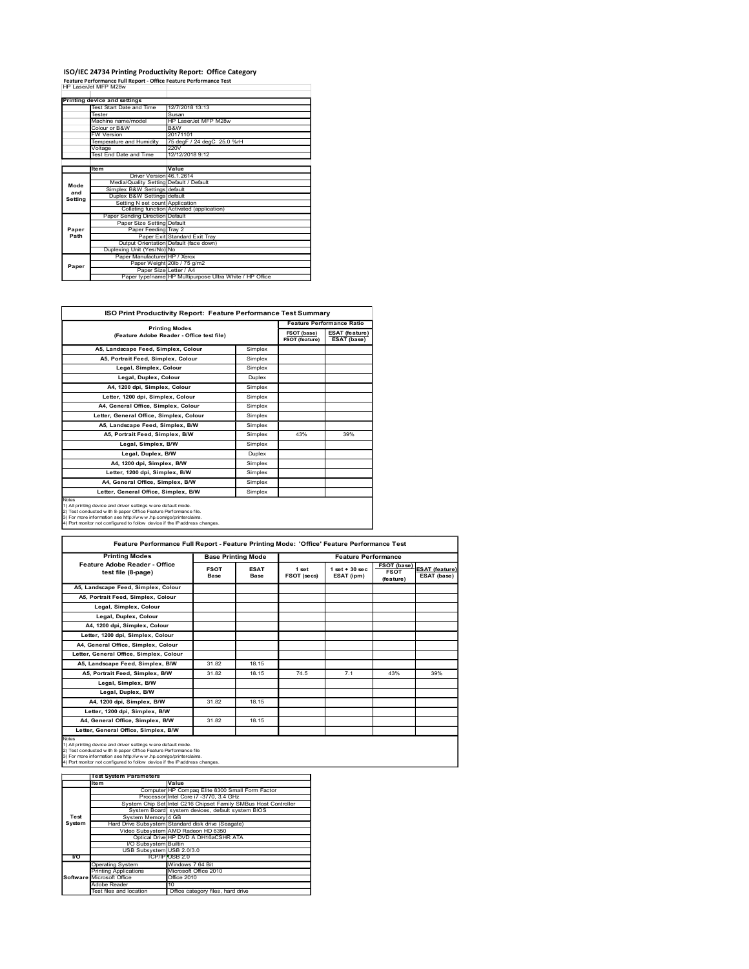## ISO/IEC 24734 Printing Productivity Report: Office Category<br>Feature Performance Full Report - Office Feature Performance Test<br>HP LaserJet MFP M28w

|         |                                                                                           | ISO/IEC 24734 Printing Productivity Report: Office Category                       |  |                                  |  |  |  |  |
|---------|-------------------------------------------------------------------------------------------|-----------------------------------------------------------------------------------|--|----------------------------------|--|--|--|--|
|         | Feature Performance Full Report - Office Feature Performance Test<br>HP LaserJet MFP M28w |                                                                                   |  |                                  |  |  |  |  |
|         |                                                                                           |                                                                                   |  |                                  |  |  |  |  |
|         | <b>Printing device and settings</b><br>Test Start Date and Time                           | 12/7/2018 13:13                                                                   |  |                                  |  |  |  |  |
|         | Tester                                                                                    | Susan                                                                             |  |                                  |  |  |  |  |
|         |                                                                                           |                                                                                   |  |                                  |  |  |  |  |
|         | Machine name/model                                                                        | HP LaserJet MFP M28w                                                              |  |                                  |  |  |  |  |
|         | Colour or B&W                                                                             | B&W                                                                               |  |                                  |  |  |  |  |
|         | <b>FW Version</b>                                                                         | 20171101                                                                          |  |                                  |  |  |  |  |
|         | Temperature and Humidity<br>Voltage                                                       | 75 degF / 24 degC 25.0 %rH<br><b>220V</b>                                         |  |                                  |  |  |  |  |
|         | <b>Test End Date and Time</b>                                                             | 12/12/2018 9:12                                                                   |  |                                  |  |  |  |  |
|         | Item                                                                                      | Value                                                                             |  |                                  |  |  |  |  |
|         | Driver Version 46.1.2614                                                                  |                                                                                   |  |                                  |  |  |  |  |
| Mode    | Media/Quality Setting Default / Default                                                   |                                                                                   |  |                                  |  |  |  |  |
| and     | Simplex B&W Settings default<br>Duplex B&W Settings default                               |                                                                                   |  |                                  |  |  |  |  |
| Setting | Setting N set count Application                                                           |                                                                                   |  |                                  |  |  |  |  |
|         |                                                                                           | Collating function Activated (application)                                        |  |                                  |  |  |  |  |
|         | Paper Sending Direction Default<br>Paper Size Setting Default                             |                                                                                   |  |                                  |  |  |  |  |
| Paper   | Paper Feeding Tray 2                                                                      |                                                                                   |  |                                  |  |  |  |  |
| Path    |                                                                                           | Paper Exit Standard Exit Tray                                                     |  |                                  |  |  |  |  |
|         | Duplexing Unit (Yes/No) No                                                                | Output Orientation Default (face down)                                            |  |                                  |  |  |  |  |
|         | Paper Manufacturer HP / Xerox                                                             |                                                                                   |  |                                  |  |  |  |  |
| Paper   |                                                                                           | Paper Weight 20lb / 75 g/m2                                                       |  |                                  |  |  |  |  |
|         |                                                                                           | Paper Size Letter / A4<br>Paper type/name HP Multipurpose Ultra White / HP Office |  |                                  |  |  |  |  |
|         |                                                                                           |                                                                                   |  |                                  |  |  |  |  |
|         |                                                                                           | ISO Print Productivity Report: Feature Performance Test Summary                   |  |                                  |  |  |  |  |
|         |                                                                                           | <b>Printing Modes</b>                                                             |  | <b>Feature Performance Ratio</b> |  |  |  |  |

|         | Tester                                                                                                                                       | Susan                                                                                                            |                            |                           |             |                                      |             |                |
|---------|----------------------------------------------------------------------------------------------------------------------------------------------|------------------------------------------------------------------------------------------------------------------|----------------------------|---------------------------|-------------|--------------------------------------|-------------|----------------|
|         | Machine name/model                                                                                                                           | HP LaserJet MFP M28w                                                                                             |                            |                           |             |                                      |             |                |
|         | Colour or B&W                                                                                                                                | B&W                                                                                                              |                            |                           |             |                                      |             |                |
|         | <b>FW Version</b><br>Temperature and Humidity                                                                                                | 20171101                                                                                                         | 75 degF / 24 degC 25.0 %rH |                           |             |                                      |             |                |
|         | Voltage                                                                                                                                      | 220V                                                                                                             |                            |                           |             |                                      |             |                |
|         | <b>Test End Date and Time</b>                                                                                                                | 12/12/2018 9:12                                                                                                  |                            |                           |             |                                      |             |                |
|         |                                                                                                                                              |                                                                                                                  |                            |                           |             |                                      |             |                |
|         | Item                                                                                                                                         | Value                                                                                                            |                            |                           |             |                                      |             |                |
|         | Driver Version 46.1.2614<br>Media/Quality Setting Default / Default                                                                          |                                                                                                                  |                            |                           |             |                                      |             |                |
| Mode    | Simplex B&W Settings default                                                                                                                 |                                                                                                                  |                            |                           |             |                                      |             |                |
| and     | Duplex B&W Settings default                                                                                                                  |                                                                                                                  |                            |                           |             |                                      |             |                |
| Setting | Setting N set count Application                                                                                                              |                                                                                                                  |                            |                           |             |                                      |             |                |
|         | Collating function Activated (application)                                                                                                   |                                                                                                                  |                            |                           |             |                                      |             |                |
|         | Paper Sending Direction Default                                                                                                              |                                                                                                                  |                            |                           |             |                                      |             |                |
| Paper   | Paper Size Setting Default<br>Paper Feeding Tray 2                                                                                           |                                                                                                                  |                            |                           |             |                                      |             |                |
| Path    | Paper Exit Standard Exit Tray                                                                                                                |                                                                                                                  |                            |                           |             |                                      |             |                |
|         | Output Orientation Default (face down)                                                                                                       |                                                                                                                  |                            |                           |             |                                      |             |                |
|         | Duplexing Unit (Yes/No) No<br>Paper Manufacturer HP / Xerox                                                                                  |                                                                                                                  |                            |                           |             |                                      |             |                |
|         |                                                                                                                                              |                                                                                                                  |                            |                           |             |                                      |             |                |
| Paper   |                                                                                                                                              | Paper Weight 20lb / 75 g/m2<br>Paper Size Letter / A4<br>Paper type/name HP Multipurpose Ultra White / HP Office |                            |                           |             |                                      |             |                |
|         |                                                                                                                                              |                                                                                                                  |                            |                           |             |                                      |             |                |
|         |                                                                                                                                              |                                                                                                                  |                            |                           |             |                                      |             |                |
|         |                                                                                                                                              |                                                                                                                  |                            |                           |             |                                      |             |                |
|         | ISO Print Productivity Report: Feature Performance Test Summary                                                                              |                                                                                                                  |                            |                           |             |                                      |             |                |
|         |                                                                                                                                              |                                                                                                                  |                            |                           |             | <b>Feature Performance Ratio</b>     |             |                |
|         | <b>Printing Modes</b><br>(Feature Adobe Reader - Office test file)                                                                           |                                                                                                                  |                            |                           |             | <b>ESAT (feature)</b><br>ESAT (base) |             |                |
|         | A5, Landscape Feed, Simplex, Colour                                                                                                          |                                                                                                                  |                            | Simplex                   |             |                                      |             |                |
|         | A5, Portrait Feed, Simplex, Colour                                                                                                           |                                                                                                                  |                            | Simplex                   |             |                                      |             |                |
|         |                                                                                                                                              |                                                                                                                  |                            |                           |             |                                      |             |                |
|         | Legal, Simplex, Colour<br>Simplex<br>Legal, Duplex, Colour<br>Duplex<br>A4, 1200 dpi, Simplex, Colour<br>Simplex                             |                                                                                                                  |                            |                           |             |                                      |             |                |
|         |                                                                                                                                              |                                                                                                                  |                            |                           |             |                                      |             |                |
|         |                                                                                                                                              |                                                                                                                  |                            |                           |             |                                      |             |                |
|         | Letter, 1200 dpi, Simplex, Colour<br>Simplex                                                                                                 |                                                                                                                  |                            |                           |             |                                      |             |                |
|         | A4, General Office, Simplex, Colour                                                                                                          |                                                                                                                  |                            | Simplex                   |             |                                      |             |                |
|         | Letter, General Office, Simplex, Colour                                                                                                      |                                                                                                                  |                            | Simplex                   |             |                                      |             |                |
|         |                                                                                                                                              |                                                                                                                  |                            | Simplex                   |             |                                      |             |                |
|         | A5, Landscape Feed, Simplex, B/W                                                                                                             |                                                                                                                  |                            |                           |             |                                      |             |                |
|         | A5, Portrait Feed, Simplex, B/W                                                                                                              |                                                                                                                  |                            | Simplex                   | 43%         | 39%                                  |             |                |
|         | Legal, Simplex, B/W                                                                                                                          |                                                                                                                  |                            | Simplex                   |             |                                      |             |                |
|         | Legal, Duplex, B/W                                                                                                                           |                                                                                                                  | Duplex                     |                           |             |                                      |             |                |
|         | A4, 1200 dpi, Simplex, B/W                                                                                                                   |                                                                                                                  |                            | Simplex                   |             |                                      |             |                |
|         | Letter, 1200 dpi, Simplex, B/W                                                                                                               |                                                                                                                  |                            | Simplex                   |             |                                      |             |                |
|         | A4, General Office, Simplex, B/W                                                                                                             |                                                                                                                  | Simplex                    |                           |             |                                      |             |                |
|         |                                                                                                                                              |                                                                                                                  |                            |                           |             |                                      |             |                |
|         | Letter, General Office, Simplex, B/W<br>Simplex                                                                                              |                                                                                                                  |                            |                           |             |                                      |             |                |
| Notes   | 1) All printing device and driver settings w ere default mode.                                                                               |                                                                                                                  |                            |                           |             |                                      |             |                |
|         | 2) Test conducted with 8-paper Office Feature Performance file.                                                                              |                                                                                                                  |                            |                           |             |                                      |             |                |
|         | 3) For more information see http://www.hp.com/go/printerclaims.<br>4) Port monitor not configured to follow device if the IP address changes |                                                                                                                  |                            |                           |             |                                      |             |                |
|         |                                                                                                                                              |                                                                                                                  |                            |                           |             |                                      |             |                |
|         | Feature Performance Full Report - Feature Printing Mode: 'Office' Feature Performance Test                                                   |                                                                                                                  |                            |                           |             |                                      |             |                |
|         | <b>Printing Modes</b>                                                                                                                        |                                                                                                                  |                            | <b>Base Printing Mode</b> |             | <b>Feature Performance</b>           |             |                |
|         | Feature Adobe Reader - Office                                                                                                                |                                                                                                                  |                            |                           |             |                                      | FSOT (base) |                |
|         | test file (8-page)                                                                                                                           |                                                                                                                  | <b>FSOT</b>                | <b>ESAT</b>               | 1 set       | $1 set + 30 sec$                     | <b>FSOT</b> | ESAT (feature) |
|         |                                                                                                                                              |                                                                                                                  | Base                       | <b>Base</b>               | FSOT (secs) | ESAT (ipm)                           | (feature)   | ESAT (base)    |
|         | A5, Landscape Feed, Simplex, Colour                                                                                                          |                                                                                                                  |                            |                           |             |                                      |             |                |
|         | A5, Portrait Feed, Simplex, Colour                                                                                                           |                                                                                                                  |                            |                           |             |                                      |             |                |
|         |                                                                                                                                              |                                                                                                                  |                            |                           |             |                                      |             |                |

|                  | A5, Landscape Feed, Simplex, Colour                                                                                                                                                                                                                                                                                                                                            |                  |                                                                                           | Simplex                    |                      |                                |                                         |                               |  |
|------------------|--------------------------------------------------------------------------------------------------------------------------------------------------------------------------------------------------------------------------------------------------------------------------------------------------------------------------------------------------------------------------------|------------------|-------------------------------------------------------------------------------------------|----------------------------|----------------------|--------------------------------|-----------------------------------------|-------------------------------|--|
|                  | A5, Portrait Feed, Simplex, Colour                                                                                                                                                                                                                                                                                                                                             |                  |                                                                                           | Simplex                    |                      |                                |                                         |                               |  |
|                  | Legal, Simplex, Colour                                                                                                                                                                                                                                                                                                                                                         |                  |                                                                                           | Simplex                    |                      |                                |                                         |                               |  |
|                  | Legal, Duplex, Colour                                                                                                                                                                                                                                                                                                                                                          |                  |                                                                                           | Duplex                     |                      |                                |                                         |                               |  |
|                  | A4, 1200 dpi, Simplex, Colour                                                                                                                                                                                                                                                                                                                                                  |                  |                                                                                           | Simplex                    |                      |                                |                                         |                               |  |
|                  | Letter, 1200 dpi, Simplex, Colour                                                                                                                                                                                                                                                                                                                                              |                  |                                                                                           | Simplex                    |                      |                                |                                         |                               |  |
|                  | A4, General Office, Simplex, Colour                                                                                                                                                                                                                                                                                                                                            |                  |                                                                                           | Simplex                    |                      |                                |                                         |                               |  |
|                  | Letter, General Office, Simplex, Colour                                                                                                                                                                                                                                                                                                                                        |                  |                                                                                           | Simplex                    |                      |                                |                                         |                               |  |
|                  | A5, Landscape Feed, Simplex, B/W                                                                                                                                                                                                                                                                                                                                               |                  |                                                                                           | Simplex                    |                      |                                |                                         |                               |  |
|                  | A5, Portrait Feed, Simplex, B/W                                                                                                                                                                                                                                                                                                                                                |                  |                                                                                           | Simplex                    | 43%                  | 39%                            |                                         |                               |  |
|                  | Legal, Simplex, B/W                                                                                                                                                                                                                                                                                                                                                            |                  |                                                                                           | Simplex                    |                      |                                |                                         |                               |  |
|                  | Legal, Duplex, B/W                                                                                                                                                                                                                                                                                                                                                             |                  |                                                                                           | Duplex                     |                      |                                |                                         |                               |  |
|                  | A4, 1200 dpi, Simplex, B/W                                                                                                                                                                                                                                                                                                                                                     |                  | Simplex                                                                                   |                            |                      |                                |                                         |                               |  |
|                  | Letter, 1200 dpi, Simplex, B/W                                                                                                                                                                                                                                                                                                                                                 |                  | Simplex                                                                                   |                            |                      |                                |                                         |                               |  |
|                  | A4, General Office, Simplex, B/W                                                                                                                                                                                                                                                                                                                                               |                  |                                                                                           | Simplex                    |                      |                                |                                         |                               |  |
|                  | Letter, General Office, Simplex, B/W                                                                                                                                                                                                                                                                                                                                           |                  |                                                                                           | Simplex                    |                      |                                |                                         |                               |  |
| Notes            |                                                                                                                                                                                                                                                                                                                                                                                |                  |                                                                                           |                            |                      |                                |                                         |                               |  |
|                  | 1) All printing device and driver settings w ere default mode.<br>2) Test conducted with 8-paper Office Feature Performance file.<br>3) For more information see http://www.hp.com/go/printerclaims.<br>4) Port monitor not configured to follow device if the Paddress changes.<br>Feature Performance Full Report - Feature Printing Mode: 'Office' Feature Performance Test |                  |                                                                                           |                            |                      |                                |                                         |                               |  |
|                  | <b>Printing Modes</b>                                                                                                                                                                                                                                                                                                                                                          |                  |                                                                                           |                            |                      |                                |                                         |                               |  |
|                  |                                                                                                                                                                                                                                                                                                                                                                                |                  |                                                                                           | <b>Base Printing Mode</b>  |                      | <b>Feature Performance</b>     |                                         |                               |  |
|                  | Feature Adobe Reader - Office<br><b>FSOT</b><br>test file (8-page)<br><b>Base</b>                                                                                                                                                                                                                                                                                              |                  |                                                                                           | <b>ESAT</b><br><b>Base</b> | 1 set<br>FSOT (secs) | $1 set + 30 sec$<br>ESAT (ipm) | FSOT (base)<br><b>FSOT</b><br>(feature) | ESAT (feature)<br>ESAT (base) |  |
|                  | A5, Landscape Feed, Simplex, Colour                                                                                                                                                                                                                                                                                                                                            |                  |                                                                                           |                            |                      |                                |                                         |                               |  |
|                  | A5, Portrait Feed, Simplex, Colour                                                                                                                                                                                                                                                                                                                                             |                  |                                                                                           |                            |                      |                                |                                         |                               |  |
|                  | Legal, Simplex, Colour                                                                                                                                                                                                                                                                                                                                                         |                  |                                                                                           |                            |                      |                                |                                         |                               |  |
|                  | Legal, Duplex, Colour                                                                                                                                                                                                                                                                                                                                                          |                  |                                                                                           |                            |                      |                                |                                         |                               |  |
|                  | A4, 1200 dpi, Simplex, Colour                                                                                                                                                                                                                                                                                                                                                  |                  |                                                                                           |                            |                      |                                |                                         |                               |  |
|                  | Letter, 1200 dpi, Simplex, Colour                                                                                                                                                                                                                                                                                                                                              |                  |                                                                                           |                            |                      |                                |                                         |                               |  |
|                  |                                                                                                                                                                                                                                                                                                                                                                                |                  |                                                                                           |                            |                      |                                |                                         |                               |  |
|                  | A4, General Office, Simplex, Colour                                                                                                                                                                                                                                                                                                                                            |                  |                                                                                           |                            |                      |                                |                                         |                               |  |
|                  | Letter, General Office, Simplex, Colour                                                                                                                                                                                                                                                                                                                                        |                  |                                                                                           |                            |                      |                                |                                         |                               |  |
|                  | A5, Landscape Feed, Simplex, B/W                                                                                                                                                                                                                                                                                                                                               |                  | 31.82                                                                                     | 18.15                      |                      |                                |                                         |                               |  |
|                  | A5, Portrait Feed, Simplex, B/W                                                                                                                                                                                                                                                                                                                                                |                  | 31.82                                                                                     | 18.15                      | 74.5                 | 7.1                            | 43%                                     | 39%                           |  |
|                  | Legal, Simplex, B/W                                                                                                                                                                                                                                                                                                                                                            |                  |                                                                                           |                            |                      |                                |                                         |                               |  |
|                  | Legal, Duplex, B/W                                                                                                                                                                                                                                                                                                                                                             |                  |                                                                                           |                            |                      |                                |                                         |                               |  |
|                  | A4, 1200 dpi, Simplex, B/W                                                                                                                                                                                                                                                                                                                                                     |                  | 31.82                                                                                     | 18.15                      |                      |                                |                                         |                               |  |
|                  | Letter, 1200 dpi, Simplex, B/W                                                                                                                                                                                                                                                                                                                                                 |                  |                                                                                           |                            |                      |                                |                                         |                               |  |
|                  | A4, General Office, Simplex, B/W                                                                                                                                                                                                                                                                                                                                               |                  | 31.82                                                                                     | 18.15                      |                      |                                |                                         |                               |  |
|                  | Letter, General Office, Simplex, B/W                                                                                                                                                                                                                                                                                                                                           |                  |                                                                                           |                            |                      |                                |                                         |                               |  |
|                  |                                                                                                                                                                                                                                                                                                                                                                                |                  |                                                                                           |                            |                      |                                |                                         |                               |  |
|                  | 1) All printing device and driver settings w ere default mode.<br>2) Test conducted with 8-paper Office Feature Performance file<br>3) For more information see http://www.hp.com/go/printerclaims<br>4) Port monitor not configured to follow device if the IP address changes                                                                                                |                  |                                                                                           |                            |                      |                                |                                         |                               |  |
|                  | <b>Test System Parameters</b>                                                                                                                                                                                                                                                                                                                                                  |                  |                                                                                           |                            |                      |                                |                                         |                               |  |
|                  | Item                                                                                                                                                                                                                                                                                                                                                                           | Value            |                                                                                           |                            |                      |                                |                                         |                               |  |
|                  |                                                                                                                                                                                                                                                                                                                                                                                |                  | Computer HP Compaq Elite 8300 Small Form Factor<br>Processor Intel Core i7 -3770, 3.4 GHz |                            |                      |                                |                                         |                               |  |
|                  | System Chip Set Intel C216 Chipset Family SMBus Host Controller                                                                                                                                                                                                                                                                                                                |                  |                                                                                           |                            |                      |                                |                                         |                               |  |
|                  |                                                                                                                                                                                                                                                                                                                                                                                |                  | System Board system devices, default system BIOS                                          |                            |                      |                                |                                         |                               |  |
| Test             | System Memory 4 GB                                                                                                                                                                                                                                                                                                                                                             |                  |                                                                                           |                            |                      |                                |                                         |                               |  |
| System           | Hard Drive Subsystem Standard disk drive (Seagate)                                                                                                                                                                                                                                                                                                                             |                  |                                                                                           |                            |                      |                                |                                         |                               |  |
|                  | Video Subsystem AMD Radeon HD 6350                                                                                                                                                                                                                                                                                                                                             |                  | Optical Drive HP DVD A DH16aCSHR ATA                                                      |                            |                      |                                |                                         |                               |  |
|                  | I/O Subsystem Builtin                                                                                                                                                                                                                                                                                                                                                          |                  |                                                                                           |                            |                      |                                |                                         |                               |  |
|                  | USB Subsystem USB 2.0/3.0                                                                                                                                                                                                                                                                                                                                                      |                  |                                                                                           |                            |                      |                                |                                         |                               |  |
| $\overline{1/O}$ |                                                                                                                                                                                                                                                                                                                                                                                | TCP/IP USB 2.0   |                                                                                           |                            |                      |                                |                                         |                               |  |
|                  | Operating System<br>inting Applications                                                                                                                                                                                                                                                                                                                                        | Windows 7 64 Bit | Microsoft Office 2010                                                                     |                            |                      |                                |                                         |                               |  |
| Software         | Microsoft Office                                                                                                                                                                                                                                                                                                                                                               | Office 2010      |                                                                                           |                            |                      |                                |                                         |                               |  |
|                  | Adobe Reader                                                                                                                                                                                                                                                                                                                                                                   |                  |                                                                                           |                            |                      |                                |                                         |                               |  |
|                  | Test files and location                                                                                                                                                                                                                                                                                                                                                        |                  | Office category files, hard drive                                                         |                            |                      |                                |                                         |                               |  |
|                  |                                                                                                                                                                                                                                                                                                                                                                                |                  |                                                                                           |                            |                      |                                |                                         |                               |  |
|                  |                                                                                                                                                                                                                                                                                                                                                                                |                  |                                                                                           |                            |                      |                                |                                         |                               |  |
|                  |                                                                                                                                                                                                                                                                                                                                                                                |                  |                                                                                           |                            |                      |                                |                                         |                               |  |
|                  |                                                                                                                                                                                                                                                                                                                                                                                |                  |                                                                                           |                            |                      |                                |                                         |                               |  |
|                  |                                                                                                                                                                                                                                                                                                                                                                                |                  |                                                                                           |                            |                      |                                |                                         |                               |  |
|                  |                                                                                                                                                                                                                                                                                                                                                                                |                  |                                                                                           |                            |                      |                                |                                         |                               |  |
|                  |                                                                                                                                                                                                                                                                                                                                                                                |                  |                                                                                           |                            |                      |                                |                                         |                               |  |
|                  |                                                                                                                                                                                                                                                                                                                                                                                |                  |                                                                                           |                            |                      |                                |                                         |                               |  |
|                  |                                                                                                                                                                                                                                                                                                                                                                                |                  |                                                                                           |                            |                      |                                |                                         |                               |  |

|           | <b>Test System Parameters</b>    |                                                                 |  |  |  |  |
|-----------|----------------------------------|-----------------------------------------------------------------|--|--|--|--|
|           | Item                             | Value                                                           |  |  |  |  |
|           |                                  | Computer HP Compag Elite 8300 Small Form Factor                 |  |  |  |  |
|           |                                  | Processor Intel Core i7 -3770, 3.4 GHz                          |  |  |  |  |
|           |                                  | System Chip Set Intel C216 Chipset Family SMBus Host Controller |  |  |  |  |
|           |                                  | System Board system devices, default system BIOS                |  |  |  |  |
| Test      | System Memory 4 GB               |                                                                 |  |  |  |  |
| System    |                                  | Hard Drive Subsystem Standard disk drive (Seagate)              |  |  |  |  |
|           |                                  | Video Subsystem AMD Radeon HD 6350                              |  |  |  |  |
|           |                                  | Optical Drive HP DVD A DH16aCSHR ATA                            |  |  |  |  |
|           | I/O Subsystem Builtin            |                                                                 |  |  |  |  |
|           | USB Subsystem USB 2.0/3.0        |                                                                 |  |  |  |  |
| <b>VO</b> |                                  | TCP/IP/USB 2.0                                                  |  |  |  |  |
|           | <b>Operating System</b>          | Windows 7 64 Bit                                                |  |  |  |  |
|           | <b>Printing Applications</b>     | Microsoft Office 2010                                           |  |  |  |  |
|           | <b>Software Microsoft Office</b> | Office 2010                                                     |  |  |  |  |
|           | Adobe Reader                     | 10                                                              |  |  |  |  |
|           | Test files and location          | Office category files, hard drive                               |  |  |  |  |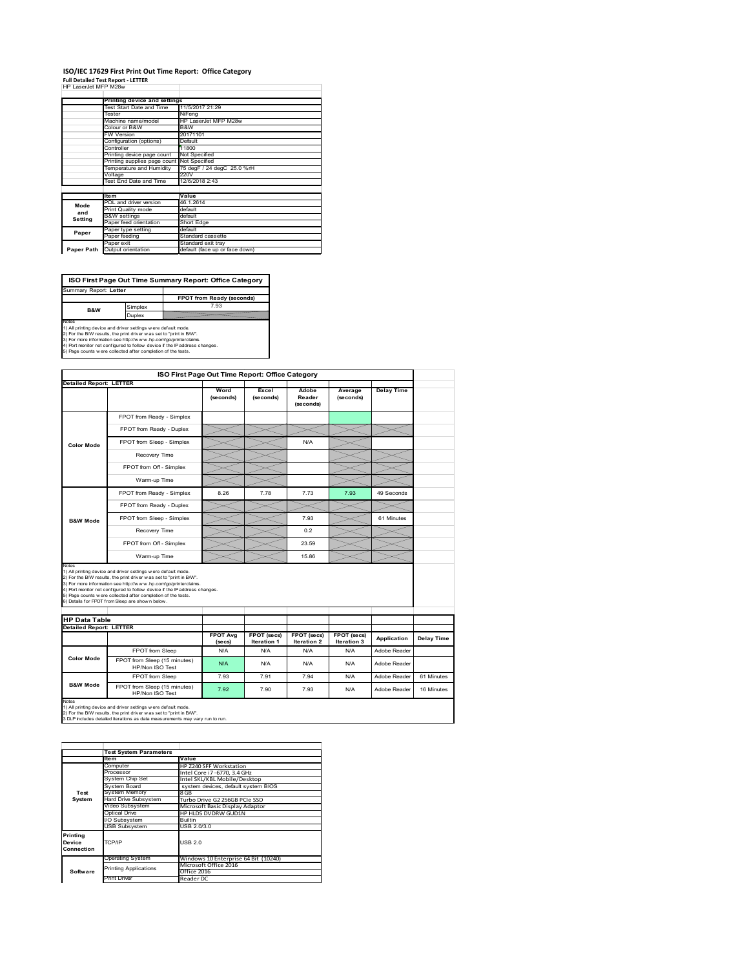#### **ISO/IEC 17629 First Print Out Time Report: Office Category Full Detailed Test Report ‐ LETTER**

|  | HP LaserJet MFP M28w |  |  |
|--|----------------------|--|--|

|            | Printing device and settings               |                                |  |  |
|------------|--------------------------------------------|--------------------------------|--|--|
|            | Test Start Date and Time                   | 11/5/2017 21:29                |  |  |
|            | Tester                                     | NiFena                         |  |  |
|            | Machine name/model                         | HP LaserJet MFP M28w           |  |  |
|            | Colour or B&W                              | B&W                            |  |  |
|            | <b>FW Version</b>                          | 20171101                       |  |  |
|            | Configuration (options)                    | Default                        |  |  |
|            | Controller                                 | 11800                          |  |  |
|            | Printing device page count                 | Not Specified                  |  |  |
|            | Printing supplies page count Not Specified |                                |  |  |
|            | Temperature and Humidity                   | 75 degF / 24 degC 25.0 %rH     |  |  |
|            | Voltage                                    | 220V                           |  |  |
|            | Test End Date and Time                     | 12/6/2018 2:43                 |  |  |
|            |                                            |                                |  |  |
|            | <b>Item</b>                                | Value                          |  |  |
| Mode       | PDL and driver version                     | 46.1.2614                      |  |  |
| and        | Print Quality mode                         | default                        |  |  |
|            | <b>B&amp;W</b> settings                    | default                        |  |  |
| Setting    | Paper feed orientation                     | Short Edge                     |  |  |
| Paper      | Paper type setting                         | default                        |  |  |
|            | Paper feeding                              | Standard cassette              |  |  |
|            | Paper exit                                 | Standard exit tray             |  |  |
| Paper Path | Output orientation                         | default (face up or face down) |  |  |
|            |                                            |                                |  |  |

**FPOT from Ready (seconds) ISO First Page Out Time Summary Report: Office Category** t: Letter

implex 7.93 **B&W**

Duplex

Notes<br>1) All printing device and driver settings were default mode.<br>2) For the BW results, the print driver was set to "print in BW".<br>3) For more information see http://www.hp.com/golprinterclaims.<br>4) Port montor not confi

**ISO First Page Out Time Report: Office Category Detailed Report: LETTER Wo Excel Delay Time Adobe Reader Average (seconds)** (secol **(seconds) (seconds)** FPOT from Ready - Simplex FPOT from Ready - Duplex FPOT from Sleep - Simplex N/A **Color Mode** Recovery Time FPOT from Off - Simplex  $\times$  $\times$ Warm-up Time  $\prec$  $\overline{\phantom{0}}$  $\prec$ FPOT from Ready - Simplex 8.26 7.78 7.73 7.93 49 Seconds FPOT from Ready - Duplex  $>\!<$ FPOT from Sleep - Simplex  $\sim$  7.93 61 Minutes **B&W Mode** Recovery Time  $\sim$  0.2 FPOT from Off - Simplex 23.59 Warm-up Time  $\sum$  15.86 Notes<br>1) All printing device and driver settings were default mode.<br>2) For the BMV results, the print driver was set to "print in BMV".<br>3) For more information see http://www.hp.com/golprinterclaims.<br>4) Port monter not con **HP Data Table Detailed Report: LETTER FPOT Avg FPOT (secs) FPOT (secs) FPOT (secs) Iteration 3 Application Delay Time (secs) Iteration 1 Iteration 2** FPOT from Sleep N/A N/A N/A N/A N/A Adobe Reade **Color Mode** FPOT from Sleep (15 minutes) HP/Non ISO Test N/A N/A N/A N/A Adobe Reader FPOT from Sleep 7.93 7.91 7.94 N/A Adobe Reader 61 Minutes **B&W Mode** FPOT from Sleep (15 minutes) T from Sleep (15 minutes) 7.92 7.90 7.93 N/A Adobe Reader 16 Minutes Notes<br>1) All printing device and driver settings w ere default mode.<br>2) For the B/W results, the print driver w as set to "print in B/W".<br>3 DLP includes detailed iterations as data measurements may vary run to run.

**Item Value** Computer HP Z240 SFF Workstation Processor Intel Core i7 ‐6770, 3.4 GHz System Chip Set Intel SKL/KBL Mobile/Desktop<br>System Board system devices, default system BIOS stem Mer Hard Drive Subsystem Turbo Drive G2 256GB PCIe SSD Video Subsystem Microsoft Basic Display Adaptor S DVDRW GUD1N I/O Subsystem Builtin USB Subsystem USB 2.0/3.0 Operating System Windows 10 Enterprise 64 Bit (10240) Microsoft Office 2016 Office 2016<br>Print Driver Reader DC **Test System Software** Test Syste **Printing Device Connection** CP/IP USB 2.0 nting Applications